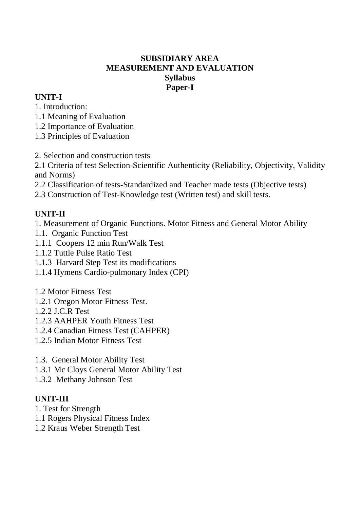# **SUBSIDIARY AREA MEASUREMENT AND EVALUATION Syllabus Paper-I**

# **UNIT-I**

1. Introduction:

- 1.1 Meaning of Evaluation
- 1.2 Importance of Evaluation
- 1.3 Principles of Evaluation
- 2. Selection and construction tests

2.1 Criteria of test Selection-Scientific Authenticity (Reliability, Objectivity, Validity and Norms)

2.2 Classification of tests-Standardized and Teacher made tests (Objective tests)

2.3 Construction of Test-Knowledge test (Written test) and skill tests.

# **UNIT-II**

1. Measurement of Organic Functions. Motor Fitness and General Motor Ability

- 1.1. Organic Function Test
- 1.1.1 Coopers 12 min Run/Walk Test
- 1.1.2 Tuttle Pulse Ratio Test
- 1.1.3 Harvard Step Test its modifications
- 1.1.4 Hymens Cardio-pulmonary Index (CPI)
- 1.2 Motor Fitness Test
- 1.2.1 Oregon Motor Fitness Test.
- 1.2.2 J.C.R Test
- 1.2.3 AAHPER Youth Fitness Test
- 1.2.4 Canadian Fitness Test (CAHPER)
- 1.2.5 Indian Motor Fitness Test
- 1.3. General Motor Ability Test
- 1.3.1 Mc Cloys General Motor Ability Test
- 1.3.2 Methany Johnson Test

# **UNIT-III**

- 1. Test for Strength
- 1.1 Rogers Physical Fitness Index
- 1.2 Kraus Weber Strength Test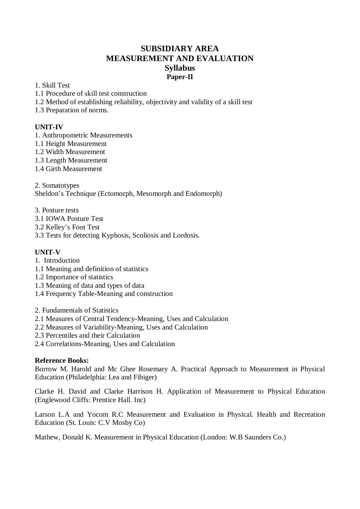### **SUBSIDIARY AREA MEASUREMENT AND EVALUATION Syllabus Paper-II**

#### 1. Skill Test

- 1.1 Procedure of skill test construction
- 1.2 Method of establishing reliability, objectivity and validity of a skill test
- 1.3 Preparation of norms.

#### **UNIT-IV**

- 1. Anthropometric Measurements
- 1.1 Height Measurement
- 1.2 Width Measurement
- 1.3 Length Measurement
- 1.4 Girth Measurement

2. Somatotypes

Sheldon's Technique (Ectomorph, Mesomorph and Endomorph)

- 3. Posture tests
- 3.1 IOWA Posture Test
- 3.2 Kelley's Foot Test
- 3.3 Tests for detecting Kyphosis, Scoliosis and Lordosis.

#### **UNIT-V**

- 1. Introduction
- 1.1 Meaning and definition of statistics
- 1.2 Importance of statistics
- 1.3 Meaning of data and types of data
- 1.4 Frequency Table-Meaning and construction
- 2. Fundamentals of Statistics
- 2.1 Measures of Central Tendency-Meaning, Uses and Calculation
- 2.2 Measures of Variability-Meaning, Uses and Calculation
- 2.3 Percentiles and their Calculation
- 2.4 Correlations-Meaning, Uses and Calculation

#### **Reference Books:**

Borrow M. Harold and Mc Ghee Rosemary A. Practical Approach to Measurement in Physical Education (Philadelphia: Lea and Fibiger)

Clarke H. David and Clarke Harrison H. Application of Measurement to Physical Education (Englewood Cliffs: Prentice Hall. Inc)

Larson L.A and Yocom R.C Measurement and Evaluation in Physical. Health and Recreation Education (St. Louis: C.V Mosby Co)

Mathew, Donald K. Measurement in Physical Education (London: W.B Saunders Co.)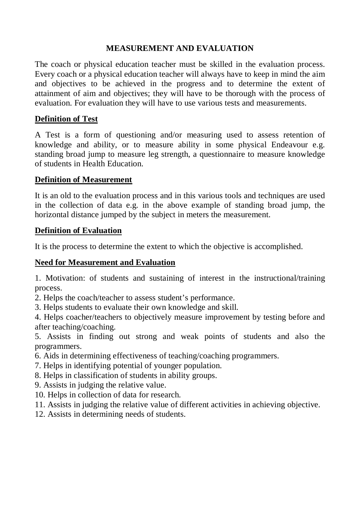# **MEASUREMENT AND EVALUATION**

The coach or physical education teacher must be skilled in the evaluation process. Every coach or a physical education teacher will always have to keep in mind the aim and objectives to be achieved in the progress and to determine the extent of attainment of aim and objectives; they will have to be thorough with the process of evaluation. For evaluation they will have to use various tests and measurements.

# **Definition of Test**

A Test is a form of questioning and/or measuring used to assess retention of knowledge and ability, or to measure ability in some physical Endeavour e.g. standing broad jump to measure leg strength, a questionnaire to measure knowledge of students in Health Education.

# **Definition of Measurement**

It is an old to the evaluation process and in this various tools and techniques are used in the collection of data e.g. in the above example of standing broad jump, the horizontal distance jumped by the subject in meters the measurement.

# **Definition of Evaluation**

It is the process to determine the extent to which the objective is accomplished.

# **Need for Measurement and Evaluation**

1. Motivation: of students and sustaining of interest in the instructional/training process.

2. Helps the coach/teacher to assess student's performance.

3. Helps students to evaluate their own knowledge and skill.

4. Helps coacher/teachers to objectively measure improvement by testing before and after teaching/coaching.

5. Assists in finding out strong and weak points of students and also the programmers.

- 6. Aids in determining effectiveness of teaching/coaching programmers.
- 7. Helps in identifying potential of younger population.
- 8. Helps in classification of students in ability groups.
- 9. Assists in judging the relative value.
- 10. Helps in collection of data for research.
- 11. Assists in judging the relative value of different activities in achieving objective.
- 12. Assists in determining needs of students.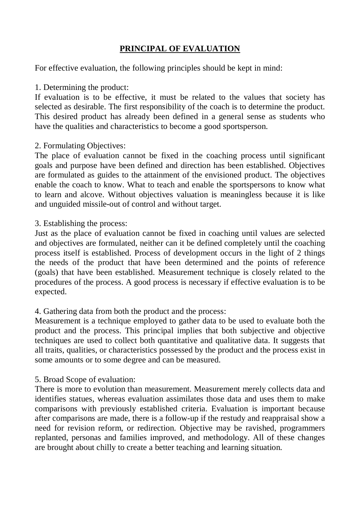# **PRINCIPAL OF EVALUATION**

For effective evaluation, the following principles should be kept in mind:

1. Determining the product:

If evaluation is to be effective, it must be related to the values that society has selected as desirable. The first responsibility of the coach is to determine the product. This desired product has already been defined in a general sense as students who have the qualities and characteristics to become a good sportsperson.

### 2. Formulating Objectives:

The place of evaluation cannot be fixed in the coaching process until significant goals and purpose have been defined and direction has been established. Objectives are formulated as guides to the attainment of the envisioned product. The objectives enable the coach to know. What to teach and enable the sportspersons to know what to learn and alcove. Without objectives valuation is meaningless because it is like and unguided missile-out of control and without target.

3. Establishing the process:

Just as the place of evaluation cannot be fixed in coaching until values are selected and objectives are formulated, neither can it be defined completely until the coaching process itself is established. Process of development occurs in the light of 2 things the needs of the product that have been determined and the points of reference (goals) that have been established. Measurement technique is closely related to the procedures of the process. A good process is necessary if effective evaluation is to be expected.

# 4. Gathering data from both the product and the process:

Measurement is a technique employed to gather data to be used to evaluate both the product and the process. This principal implies that both subjective and objective techniques are used to collect both quantitative and qualitative data. It suggests that all traits, qualities, or characteristics possessed by the product and the process exist in some amounts or to some degree and can be measured.

### 5. Broad Scope of evaluation:

There is more to evolution than measurement. Measurement merely collects data and identifies statues, whereas evaluation assimilates those data and uses them to make comparisons with previously established criteria. Evaluation is important because after comparisons are made, there is a follow-up if the restudy and reappraisal show a need for revision reform, or redirection. Objective may be ravished, programmers replanted, personas and families improved, and methodology. All of these changes are brought about chilly to create a better teaching and learning situation.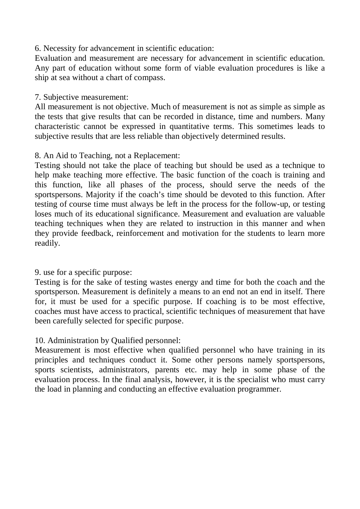6. Necessity for advancement in scientific education:

Evaluation and measurement are necessary for advancement in scientific education. Any part of education without some form of viable evaluation procedures is like a ship at sea without a chart of compass.

### 7. Subjective measurement:

All measurement is not objective. Much of measurement is not as simple as simple as the tests that give results that can be recorded in distance, time and numbers. Many characteristic cannot be expressed in quantitative terms. This sometimes leads to subjective results that are less reliable than objectively determined results.

# 8. An Aid to Teaching, not a Replacement:

Testing should not take the place of teaching but should be used as a technique to help make teaching more effective. The basic function of the coach is training and this function, like all phases of the process, should serve the needs of the sportspersons. Majority if the coach's time should be devoted to this function. After testing of course time must always be left in the process for the follow-up, or testing loses much of its educational significance. Measurement and evaluation are valuable teaching techniques when they are related to instruction in this manner and when they provide feedback, reinforcement and motivation for the students to learn more readily.

### 9. use for a specific purpose:

Testing is for the sake of testing wastes energy and time for both the coach and the sportsperson. Measurement is definitely a means to an end not an end in itself. There for, it must be used for a specific purpose. If coaching is to be most effective, coaches must have access to practical, scientific techniques of measurement that have been carefully selected for specific purpose.

# 10. Administration by Qualified personnel:

Measurement is most effective when qualified personnel who have training in its principles and techniques conduct it. Some other persons namely sportspersons, sports scientists, administrators, parents etc. may help in some phase of the evaluation process. In the final analysis, however, it is the specialist who must carry the load in planning and conducting an effective evaluation programmer.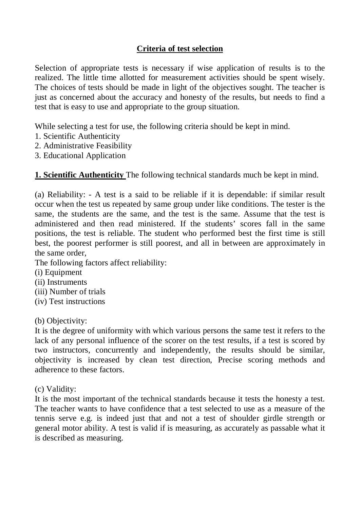# **Criteria of test selection**

Selection of appropriate tests is necessary if wise application of results is to the realized. The little time allotted for measurement activities should be spent wisely. The choices of tests should be made in light of the objectives sought. The teacher is just as concerned about the accuracy and honesty of the results, but needs to find a test that is easy to use and appropriate to the group situation.

While selecting a test for use, the following criteria should be kept in mind.

- 1. Scientific Authenticity
- 2. Administrative Feasibility
- 3. Educational Application

**1. Scientific Authenticity** The following technical standards much be kept in mind.

(a) Reliability: - A test is a said to be reliable if it is dependable: if similar result occur when the test us repeated by same group under like conditions. The tester is the same, the students are the same, and the test is the same. Assume that the test is administered and then read ministered. If the students' scores fall in the same positions, the test is reliable. The student who performed best the first time is still best, the poorest performer is still poorest, and all in between are approximately in the same order,

The following factors affect reliability:

- (i) Equipment
- (ii) Instruments
- (iii) Number of trials
- (iv) Test instructions

(b) Objectivity:

It is the degree of uniformity with which various persons the same test it refers to the lack of any personal influence of the scorer on the test results, if a test is scored by two instructors, concurrently and independently, the results should be similar, objectivity is increased by clean test direction, Precise scoring methods and adherence to these factors.

(c) Validity:

It is the most important of the technical standards because it tests the honesty a test. The teacher wants to have confidence that a test selected to use as a measure of the tennis serve e.g. is indeed just that and not a test of shoulder girdle strength or general motor ability. A test is valid if is measuring, as accurately as passable what it is described as measuring.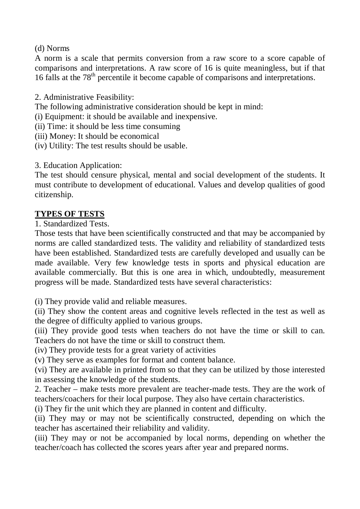(d) Norms

A norm is a scale that permits conversion from a raw score to a score capable of comparisons and interpretations. A raw score of 16 is quite meaningless, but if that 16 falls at the  $78<sup>th</sup>$  percentile it become capable of comparisons and interpretations.

2. Administrative Feasibility:

The following administrative consideration should be kept in mind:

(i) Equipment: it should be available and inexpensive.

(ii) Time: it should be less time consuming

(iii) Money: It should be economical

(iv) Utility: The test results should be usable.

3. Education Application:

The test should censure physical, mental and social development of the students. It must contribute to development of educational. Values and develop qualities of good citizenship.

# **TYPES OF TESTS**

1. Standardized Tests.

Those tests that have been scientifically constructed and that may be accompanied by norms are called standardized tests. The validity and reliability of standardized tests have been established. Standardized tests are carefully developed and usually can be made available. Very few knowledge tests in sports and physical education are available commercially. But this is one area in which, undoubtedly, measurement progress will be made. Standardized tests have several characteristics:

(i) They provide valid and reliable measures.

(ii) They show the content areas and cognitive levels reflected in the test as well as the degree of difficulty applied to various groups.

(iii) They provide good tests when teachers do not have the time or skill to can. Teachers do not have the time or skill to construct them.

(iv) They provide tests for a great variety of activities

(v) They serve as examples for format and content balance.

(vi) They are available in printed from so that they can be utilized by those interested in assessing the knowledge of the students.

2. Teacher – make tests more prevalent are teacher-made tests. They are the work of teachers/coachers for their local purpose. They also have certain characteristics.

(i) They fir the unit which they are planned in content and difficulty.

(ii) They may or may not be scientifically constructed, depending on which the teacher has ascertained their reliability and validity.

(iii) They may or not be accompanied by local norms, depending on whether the teacher/coach has collected the scores years after year and prepared norms.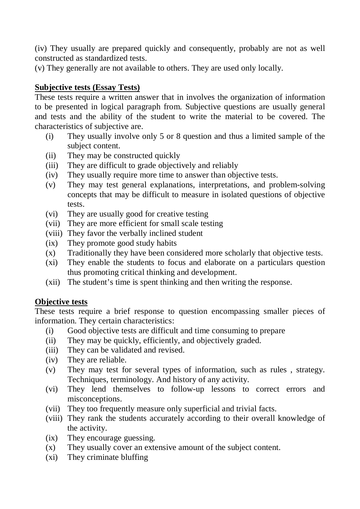(iv) They usually are prepared quickly and consequently, probably are not as well constructed as standardized tests.

(v) They generally are not available to others. They are used only locally.

### **Subjective tests (Essay Tests)**

These tests require a written answer that in involves the organization of information to be presented in logical paragraph from. Subjective questions are usually general and tests and the ability of the student to write the material to be covered. The characteristics of subjective are.

- (i) They usually involve only 5 or 8 question and thus a limited sample of the subject content.
- (ii) They may be constructed quickly
- (iii) They are difficult to grade objectively and reliably
- (iv) They usually require more time to answer than objective tests.
- (v) They may test general explanations, interpretations, and problem-solving concepts that may be difficult to measure in isolated questions of objective tests.
- (vi) They are usually good for creative testing
- (vii) They are more efficient for small scale testing
- (viii) They favor the verbally inclined student
- (ix) They promote good study habits
- (x) Traditionally they have been considered more scholarly that objective tests.
- (xi) They enable the students to focus and elaborate on a particulars question thus promoting critical thinking and development.
- (xii) The student's time is spent thinking and then writing the response.

### **Objective tests**

These tests require a brief response to question encompassing smaller pieces of information. They certain characteristics:

- (i) Good objective tests are difficult and time consuming to prepare
- (ii) They may be quickly, efficiently, and objectively graded.
- (iii) They can be validated and revised.
- (iv) They are reliable.
- (v) They may test for several types of information, such as rules , strategy. Techniques, terminology. And history of any activity.
- (vi) They lend themselves to follow-up lessons to correct errors and misconceptions.
- (vii) They too frequently measure only superficial and trivial facts.
- (viii) They rank the students accurately according to their overall knowledge of the activity.
- (ix) They encourage guessing.
- (x) They usually cover an extensive amount of the subject content.
- (xi) They criminate bluffing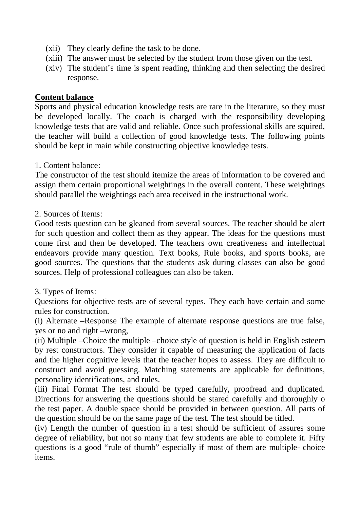- (xii) They clearly define the task to be done.
- (xiii) The answer must be selected by the student from those given on the test.
- (xiv) The student's time is spent reading, thinking and then selecting the desired response.

#### **Content balance**

Sports and physical education knowledge tests are rare in the literature, so they must be developed locally. The coach is charged with the responsibility developing knowledge tests that are valid and reliable. Once such professional skills are squired, the teacher will build a collection of good knowledge tests. The following points should be kept in main while constructing objective knowledge tests.

1. Content balance:

The constructor of the test should itemize the areas of information to be covered and assign them certain proportional weightings in the overall content. These weightings should parallel the weightings each area received in the instructional work.

#### 2. Sources of Items:

Good tests question can be gleaned from several sources. The teacher should be alert for such question and collect them as they appear. The ideas for the questions must come first and then be developed. The teachers own creativeness and intellectual endeavors provide many question. Text books, Rule books, and sports books, are good sources. The questions that the students ask during classes can also be good sources. Help of professional colleagues can also be taken.

#### 3. Types of Items:

Questions for objective tests are of several types. They each have certain and some rules for construction.

(i) Alternate –Response The example of alternate response questions are true false, yes or no and right –wrong,

(ii) Multiple –Choice the multiple –choice style of question is held in English esteem by rest constructors. They consider it capable of measuring the application of facts and the higher cognitive levels that the teacher hopes to assess. They are difficult to construct and avoid guessing. Matching statements are applicable for definitions, personality identifications, and rules.

(iii) Final Format The test should be typed carefully, proofread and duplicated. Directions for answering the questions should be stared carefully and thoroughly o the test paper. A double space should be provided in between question. All parts of the question should be on the same page of the test. The test should be titled.

(iv) Length the number of question in a test should be sufficient of assures some degree of reliability, but not so many that few students are able to complete it. Fifty questions is a good "rule of thumb" especially if most of them are multiple- choice items.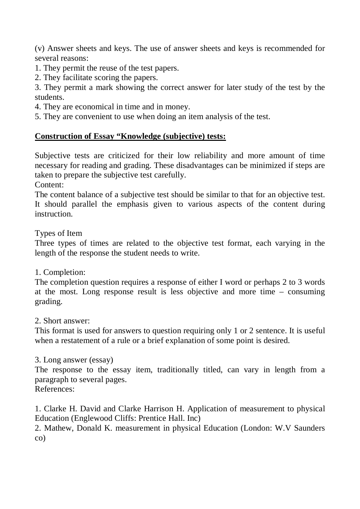(v) Answer sheets and keys. The use of answer sheets and keys is recommended for several reasons:

- 1. They permit the reuse of the test papers.
- 2. They facilitate scoring the papers.

3. They permit a mark showing the correct answer for later study of the test by the students.

4. They are economical in time and in money.

5. They are convenient to use when doing an item analysis of the test.

# **Construction of Essay "Knowledge (subjective) tests:**

Subjective tests are criticized for their low reliability and more amount of time necessary for reading and grading. These disadvantages can be minimized if steps are taken to prepare the subjective test carefully.

Content:

The content balance of a subjective test should be similar to that for an objective test. It should parallel the emphasis given to various aspects of the content during instruction.

Types of Item

Three types of times are related to the objective test format, each varying in the length of the response the student needs to write.

1. Completion:

The completion question requires a response of either I word or perhaps 2 to 3 words at the most. Long response result is less objective and more time – consuming grading.

2. Short answer:

This format is used for answers to question requiring only 1 or 2 sentence. It is useful when a restatement of a rule or a brief explanation of some point is desired.

### 3. Long answer (essay)

The response to the essay item, traditionally titled, can vary in length from a paragraph to several pages.

References:

1. Clarke H. David and Clarke Harrison H. Application of measurement to physical Education (Englewood Cliffs: Prentice Hall. Inc)

2. Mathew, Donald K. measurement in physical Education (London: W.V Saunders co)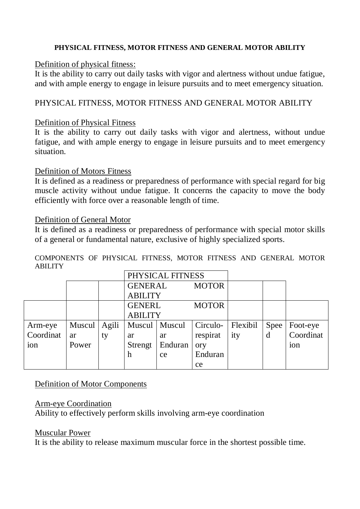#### **PHYSICAL FITNESS, MOTOR FITNESS AND GENERAL MOTOR ABILITY**

#### Definition of physical fitness:

It is the ability to carry out daily tasks with vigor and alertness without undue fatigue, and with ample energy to engage in leisure pursuits and to meet emergency situation.

# PHYSICAL FITNESS, MOTOR FITNESS AND GENERAL MOTOR ABILITY

#### Definition of Physical Fitness

It is the ability to carry out daily tasks with vigor and alertness, without undue fatigue, and with ample energy to engage in leisure pursuits and to meet emergency situation.

#### Definition of Motors Fitness

It is defined as a readiness or preparedness of performance with special regard for big muscle activity without undue fatigue. It concerns the capacity to move the body efficiently with force over a reasonable length of time.

#### Definition of General Motor

It is defined as a readiness or preparedness of performance with special motor skills of a general or fundamental nature, exclusive of highly specialized sports.

COMPONENTS OF PHYSICAL FITNESS, MOTOR FITNESS AND GENERAL MOTOR ABILITY

|           |        |       | PHYSICAL FITNESS |                 |              |          |      |                 |
|-----------|--------|-------|------------------|-----------------|--------------|----------|------|-----------------|
|           |        |       | <b>GENERAL</b>   |                 | <b>MOTOR</b> |          |      |                 |
|           |        |       | <b>ABILITY</b>   |                 |              |          |      |                 |
|           |        |       | <b>GENERL</b>    |                 | <b>MOTOR</b> |          |      |                 |
|           |        |       | <b>ABILITY</b>   |                 |              |          |      |                 |
| Arm-eye   | Muscul | Agili |                  | Muscul   Muscul | Circulo-     | Flexibil | Spee | Foot-eye        |
| Coordinat | ar     | ty    | ar               | ar              | respirat     | ity      | d    | Coordinat       |
| ion       | Power  |       | Strengt          | Enduran         | ory          |          |      | 10 <sub>n</sub> |
|           |        |       | h                | ce              | Enduran      |          |      |                 |
|           |        |       |                  |                 | ce           |          |      |                 |

### Definition of Motor Components

### Arm-eye Coordination

Ability to effectively perform skills involving arm-eye coordination

#### Muscular Power

It is the ability to release maximum muscular force in the shortest possible time.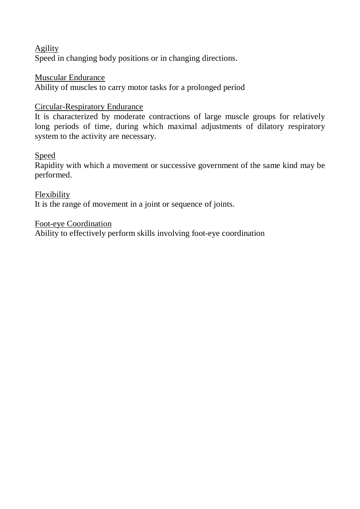Agility Speed in changing body positions or in changing directions.

# Muscular Endurance

Ability of muscles to carry motor tasks for a prolonged period

# Circular-Respiratory Endurance

It is characterized by moderate contractions of large muscle groups for relatively long periods of time, during which maximal adjustments of dilatory respiratory system to the activity are necessary.

### Speed

Rapidity with which a movement or successive government of the same kind may be performed.

Flexibility It is the range of movement in a joint or sequence of joints.

### Foot-eye Coordination

Ability to effectively perform skills involving foot-eye coordination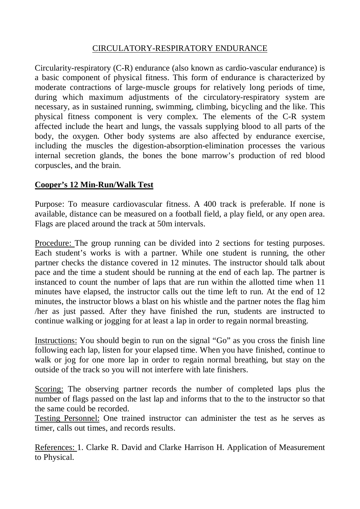### CIRCULATORY-RESPIRATORY ENDURANCE

Circularity-respiratory (C-R) endurance (also known as cardio-vascular endurance) is a basic component of physical fitness. This form of endurance is characterized by moderate contractions of large-muscle groups for relatively long periods of time, during which maximum adjustments of the circulatory-respiratory system are necessary, as in sustained running, swimming, climbing, bicycling and the like. This physical fitness component is very complex. The elements of the C-R system affected include the heart and lungs, the vassals supplying blood to all parts of the body, the oxygen. Other body systems are also affected by endurance exercise, including the muscles the digestion-absorption-elimination processes the various internal secretion glands, the bones the bone marrow's production of red blood corpuscles, and the brain.

# **Cooper's 12 Min-Run/Walk Test**

Purpose: To measure cardiovascular fitness. A 400 track is preferable. If none is available, distance can be measured on a football field, a play field, or any open area. Flags are placed around the track at 50m intervals.

Procedure: The group running can be divided into 2 sections for testing purposes. Each student's works is with a partner. While one student is running, the other partner checks the distance covered in 12 minutes. The instructor should talk about pace and the time a student should be running at the end of each lap. The partner is instanced to count the number of laps that are run within the allotted time when 11 minutes have elapsed, the instructor calls out the time left to run. At the end of 12 minutes, the instructor blows a blast on his whistle and the partner notes the flag him /her as just passed. After they have finished the run, students are instructed to continue walking or jogging for at least a lap in order to regain normal breasting.

Instructions: You should begin to run on the signal "Go" as you cross the finish line following each lap, listen for your elapsed time. When you have finished, continue to walk or jog for one more lap in order to regain normal breathing, but stay on the outside of the track so you will not interfere with late finishers.

Scoring: The observing partner records the number of completed laps plus the number of flags passed on the last lap and informs that to the to the instructor so that the same could be recorded.

Testing Personnel: One trained instructor can administer the test as he serves as timer, calls out times, and records results.

References: 1. Clarke R. David and Clarke Harrison H. Application of Measurement to Physical.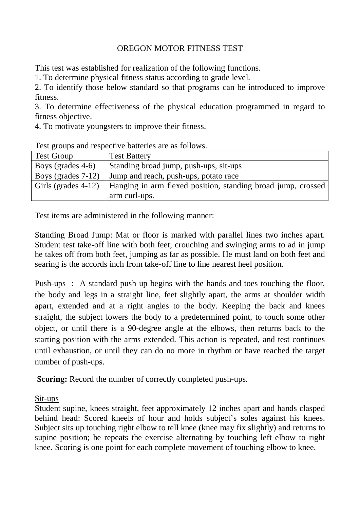# OREGON MOTOR FITNESS TEST

This test was established for realization of the following functions.

1. To determine physical fitness status according to grade level.

2. To identify those below standard so that programs can be introduced to improve fitness.

3. To determine effectiveness of the physical education programmed in regard to fitness objective.

4. To motivate youngsters to improve their fitness.

| <b>Test Group</b>     | <b>Test Battery</b>                                          |
|-----------------------|--------------------------------------------------------------|
| Boys (grades 4-6)     | Standing broad jump, push-ups, sit-ups                       |
| Boys (grades $7-12$ ) | Jump and reach, push-ups, potato race                        |
| Girls (grades 4-12)   | Hanging in arm flexed position, standing broad jump, crossed |
|                       | arm curl-ups.                                                |

Test groups and respective batteries are as follows.

Test items are administered in the following manner:

Standing Broad Jump: Mat or floor is marked with parallel lines two inches apart. Student test take-off line with both feet; crouching and swinging arms to ad in jump he takes off from both feet, jumping as far as possible. He must land on both feet and searing is the accords inch from take-off line to line nearest heel position.

Push-ups : A standard push up begins with the hands and toes touching the floor, the body and legs in a straight line, feet slightly apart, the arms at shoulder width apart, extended and at a right angles to the body. Keeping the back and knees straight, the subject lowers the body to a predetermined point, to touch some other object, or until there is a 90-degree angle at the elbows, then returns back to the starting position with the arms extended. This action is repeated, and test continues until exhaustion, or until they can do no more in rhythm or have reached the target number of push-ups.

**Scoring:** Record the number of correctly completed push-ups.

Sit-ups

Student supine, knees straight, feet approximately 12 inches apart and hands clasped behind head: Scored kneels of hour and holds subject's soles against his knees. Subject sits up touching right elbow to tell knee (knee may fix slightly) and returns to supine position; he repeats the exercise alternating by touching left elbow to right knee. Scoring is one point for each complete movement of touching elbow to knee.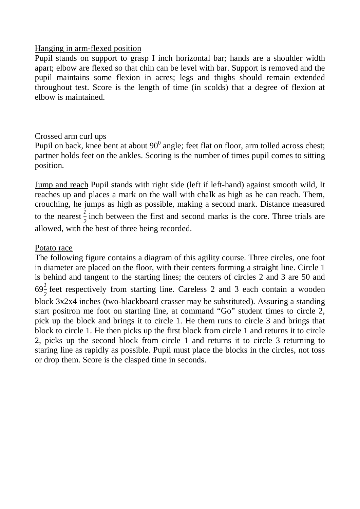#### Hanging in arm-flexed position

Pupil stands on support to grasp I inch horizontal bar; hands are a shoulder width apart; elbow are flexed so that chin can be level with bar. Support is removed and the pupil maintains some flexion in acres; legs and thighs should remain extended throughout test. Score is the length of time (in scolds) that a degree of flexion at elbow is maintained.

### Crossed arm curl ups

Pupil on back, knee bent at about  $90^0$  angle; feet flat on floor, arm tolled across chest; partner holds feet on the ankles. Scoring is the number of times pupil comes to sitting position.

Jump and reach Pupil stands with right side (left if left-hand) against smooth wild, It reaches up and places a mark on the wall with chalk as high as he can reach. Them, crouching, he jumps as high as possible, making a second mark. Distance measured to the nearest  $\frac{1}{2}$  inch between the first and second marks is the core. Three trials are allowed, with the best of three being recorded.

#### Potato race

The following figure contains a diagram of this agility course. Three circles, one foot in diameter are placed on the floor, with their centers forming a straight line. Circle 1 is behind and tangent to the starting lines; the centers of circles 2 and 3 are 50 and  $69\frac{1}{2}$  feet respectively from starting line. Careless 2 and 3 each contain a wooden block 3x2x4 inches (two-blackboard crasser may be substituted). Assuring a standing start positron me foot on starting line, at command "Go" student times to circle 2, pick up the block and brings it to circle 1. He them runs to circle 3 and brings that block to circle 1. He then picks up the first block from circle 1 and returns it to circle 2, picks up the second block from circle 1 and returns it to circle 3 returning to staring line as rapidly as possible. Pupil must place the blocks in the circles, not toss or drop them. Score is the clasped time in seconds.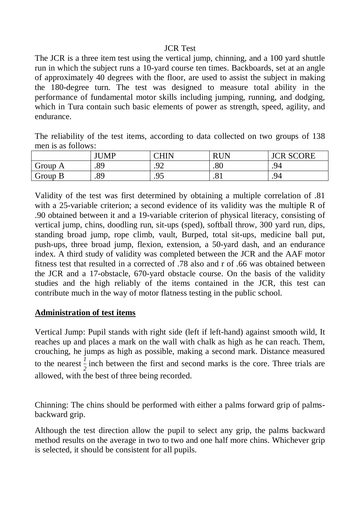#### JCR Test

The JCR is a three item test using the vertical jump, chinning, and a 100 yard shuttle run in which the subject runs a 10-yard course ten times. Backboards, set at an angle of approximately 40 degrees with the floor, are used to assist the subject in making the 180-degree turn. The test was designed to measure total ability in the performance of fundamental motor skills including jumping, running, and dodging, which in Tura contain such basic elements of power as strength, speed, agility, and endurance.

The reliability of the test items, according to data collected on two groups of 138 men is as follows:

|                       | JUMP | $\cap$ HIN         | <b>RIN</b><br>v | <b>SCORE</b><br>$\cap \mathbf{D}$ |
|-----------------------|------|--------------------|-----------------|-----------------------------------|
| Group<br>$\mathbf{A}$ | .89  | ↷◠<br>◡<br>$\cdot$ | $\Omega$<br>.ou | .94                               |
| Group B               | .89  | ۵۲<br>. J J        | O.<br>.01       | .94                               |

Validity of the test was first determined by obtaining a multiple correlation of .81 with a 25-variable criterion; a second evidence of its validity was the multiple R of .90 obtained between it and a 19-variable criterion of physical literacy, consisting of vertical jump, chins, doodling run, sit-ups (sped), softball throw, 300 yard run, dips, standing broad jump, rope climb, vault, Burped, total sit-ups, medicine ball put, push-ups, three broad jump, flexion, extension, a 50-yard dash, and an endurance index. A third study of validity was completed between the JCR and the AAF motor fitness test that resulted in a corrected of .78 also and r of .66 was obtained between the JCR and a 17-obstacle, 670-yard obstacle course. On the basis of the validity studies and the high reliably of the items contained in the JCR, this test can contribute much in the way of motor flatness testing in the public school.

### **Administration of test items**

Vertical Jump: Pupil stands with right side (left if left-hand) against smooth wild, It reaches up and places a mark on the wall with chalk as high as he can reach. Them, crouching, he jumps as high as possible, making a second mark. Distance measured to the nearest  $\frac{1}{2}$  inch between the first and second marks is the core. Three trials are allowed, with the best of three being recorded.

Chinning: The chins should be performed with either a palms forward grip of palmsbackward grip.

Although the test direction allow the pupil to select any grip, the palms backward method results on the average in two to two and one half more chins. Whichever grip is selected, it should be consistent for all pupils.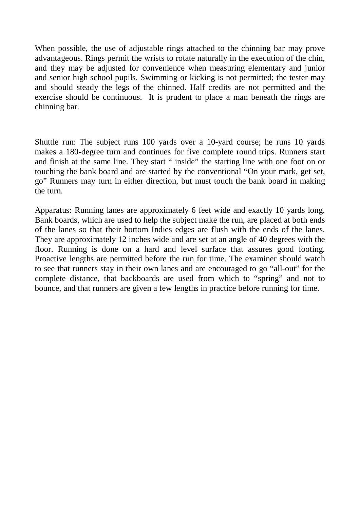When possible, the use of adjustable rings attached to the chinning bar may prove advantageous. Rings permit the wrists to rotate naturally in the execution of the chin, and they may be adjusted for convenience when measuring elementary and junior and senior high school pupils. Swimming or kicking is not permitted; the tester may and should steady the legs of the chinned. Half credits are not permitted and the exercise should be continuous. It is prudent to place a man beneath the rings are chinning bar.

Shuttle run: The subject runs 100 yards over a 10-yard course; he runs 10 yards makes a 180-degree turn and continues for five complete round trips. Runners start and finish at the same line. They start " inside" the starting line with one foot on or touching the bank board and are started by the conventional "On your mark, get set, go" Runners may turn in either direction, but must touch the bank board in making the turn.

Apparatus: Running lanes are approximately 6 feet wide and exactly 10 yards long. Bank boards, which are used to help the subject make the run, are placed at both ends of the lanes so that their bottom Indies edges are flush with the ends of the lanes. They are approximately 12 inches wide and are set at an angle of 40 degrees with the floor. Running is done on a hard and level surface that assures good footing. Proactive lengths are permitted before the run for time. The examiner should watch to see that runners stay in their own lanes and are encouraged to go "all-out" for the complete distance, that backboards are used from which to "spring" and not to bounce, and that runners are given a few lengths in practice before running for time.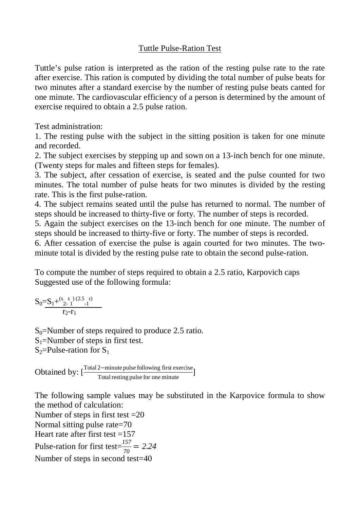### Tuttle Pulse-Ration Test

Tuttle's pulse ration is interpreted as the ration of the resting pulse rate to the rate after exercise. This ration is computed by dividing the total number of pulse beats for two minutes after a standard exercise by the number of resting pulse beats canted for one minute. The cardiovascular efficiency of a person is determined by the amount of exercise required to obtain a 2.5 pulse ration.

Test administration:

1. The resting pulse with the subject in the sitting position is taken for one minute and recorded.

2. The subject exercises by stepping up and sown on a 13-inch bench for one minute. (Twenty steps for males and fifteen steps for females).

3. The subject, after cessation of exercise, is seated and the pulse counted for two minutes. The total number of pulse heats for two minutes is divided by the resting rate. This is the first pulse-ration.

4. The subject remains seated until the pulse has returned to normal. The number of steps should be increased to thirty-five or forty. The number of steps is recorded.

5. Again the subject exercises on the 13-inch bench for one minute. The number of steps should be increased to thirty-five or forty. The number of steps is recorded.

6. After cessation of exercise the pulse is again courted for two minutes. The twominute total is divided by the resting pulse rate to obtain the second pulse-ration.

To compute the number of steps required to obtain a 2.5 ratio, Karpovich caps Suggested use of the following formula:

 $S_0 = S_1 + \frac{S_2}{2}$ s  $\binom{0.5 - r}{1}$  $r_2-r_1$ 

 $S_0$ =Number of steps required to produce 2.5 ratio.  $S_1$ =Number of steps in first test.  $S_2$ =Pulse-ration for  $S_1$ 

Obtained by:  $\left[\frac{\text{Total 2-minute pulse following first exercise}}{\text{Total resting pulse for one minute}}\right]$ 

The following sample values may be substituted in the Karpovice formula to show the method of calculation:

Number of steps in first test  $=20$ Normal sitting pulse rate=70 Heart rate after first test  $=157$ Pulse-ration for first test $=\frac{157}{70}$  = 2.24 Number of steps in second test=40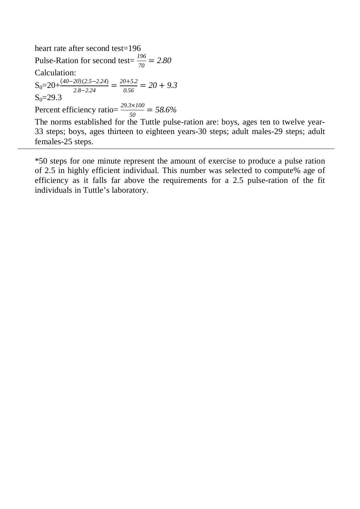heart rate after second test=196 Pulse-Ration for second test= $\frac{196}{70} = 2.80$ Calculation:  $S_0 = 20 + \frac{(40-20)(2.5-2.24)}{2.8-2.24} = \frac{20+5.2}{0.56} = 20 + 9.3$  $S_0 = 29.3$ Percent efficiency ratio= $\frac{29.3 \times 100}{50} = 58.6\%$ 

The norms established for the Tuttle pulse-ration are: boys, ages ten to twelve year-33 steps; boys, ages thirteen to eighteen years-30 steps; adult males-29 steps; adult females-25 steps.

\*50 steps for one minute represent the amount of exercise to produce a pulse ration of 2.5 in highly efficient individual. This number was selected to compute% age of efficiency as it falls far above the requirements for a 2.5 pulse-ration of the fit individuals in Tuttle's laboratory.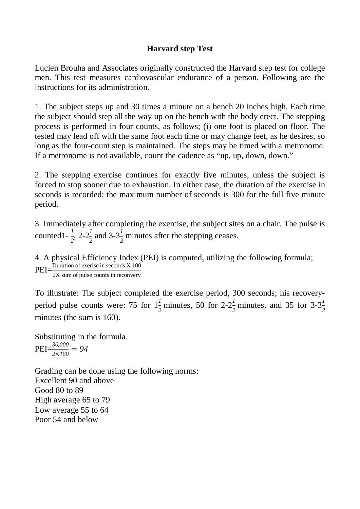# **Harvard step Test**

Lucien Brouha and Associates originally constructed the Harvard step test for college men. This test measures cardiovascular endurance of a person. Following are the instructions for its administration.

1. The subject steps up and 30 times a minute on a bench 20 inches high. Each time the subject should step all the way up on the bench with the body erect. The stepping process is performed in four counts, as follows; (i) one foot is placed on floor. The tested may lead off with the same foot each time or may change feet, as he desires, so long as the four-count step is maintained. The steps may be timed with a metronome. If a metronome is not available, count the cadence as "up, up, down, down."

2. The stepping exercise continues for exactly five minutes, unless the subject is forced to stop sooner due to exhaustion. In either case, the duration of the exercise in seconds is recorded; the maximum number of seconds is 300 for the full five minute period.

3. Immediately after completing the exercise, the subject sites on a chair. The pulse is counted 1 -  $\frac{1}{2}$ , 2-2 $\frac{1}{2}$  $\frac{1}{2}$  and 3-3<sup>1</sup>/<sub>2</sub> minutes after the stepping ceases.

4. A physical Efficiency Index (PEI) is computed, utilizing the following formula;  $PEI = \frac{Duration \space of \space exerise \space in \space seconds \space X \space 100}{2X \space sum \space of \space pulse \space counts \space in \space reconvery \space}$ 

To illustrate: The subject completed the exercise period, 300 seconds; his recoveryperiod pulse counts were: 75 for  $1\frac{1}{2}$  minutes, 50 for  $2-2\frac{1}{2}$  minutes, and 35 for  $3-3\frac{1}{2}$ *2* minutes (the sum is 160).

Substituting in the formula.  $PEI = \frac{30,000}{2 \times 160} = 94$ 

Grading can be done using the following norms: Excellent 90 and above Good 80 to 89 High average 65 to 79 Low average 55 to 64 Poor 54 and below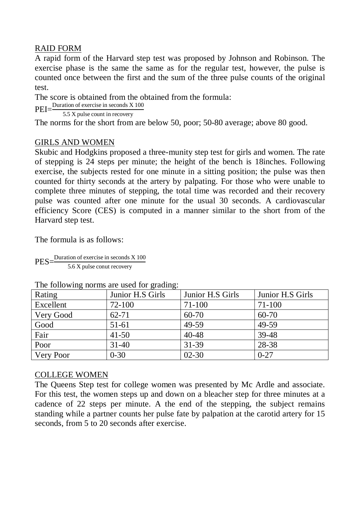# RAID FORM

A rapid form of the Harvard step test was proposed by Johnson and Robinson. The exercise phase is the same the same as for the regular test, however, the pulse is counted once between the first and the sum of the three pulse counts of the original test.

The score is obtained from the obtained from the formula:

PEI= $\frac{\text{Duration of exercise in seconds X 100}}{}$ 

5.5 X pulse count in recovery

The norms for the short from are below 50, poor; 50-80 average; above 80 good.

# GIRLS AND WOMEN

Skubic and Hodgkins proposed a three-munity step test for girls and women. The rate of stepping is 24 steps per minute; the height of the bench is 18inches. Following exercise, the subjects rested for one minute in a sitting position; the pulse was then counted for thirty seconds at the artery by palpating. For those who were unable to complete three minutes of stepping, the total time was recorded and their recovery pulse was counted after one minute for the usual 30 seconds. A cardiovascular efficiency Score (CES) is computed in a manner similar to the short from of the Harvard step test.

The formula is as follows:

 $PES=\frac{Duration \space of \space exercise \space in \space seconds \space X \space 100}{5 \space s \space C}$ 5.6 X pulse conut recovery

| Rating    | Junior H.S Girls | Junior H.S Girls | Junior H.S Girls |
|-----------|------------------|------------------|------------------|
| Excellent | 72-100           | 71-100           | 71-100           |
| Very Good | $62 - 71$        | $60 - 70$        | $60 - 70$        |
| Good      | 51-61            | 49-59            | 49-59            |
| Fair      | $41 - 50$        | $40 - 48$        | 39-48            |
| Poor      | $31 - 40$        | $31 - 39$        | 28-38            |
| Very Poor | $0 - 30$         | $02 - 30$        | $0 - 27$         |

#### The following norms are used for grading:

### COLLEGE WOMEN

The Queens Step test for college women was presented by Mc Ardle and associate. For this test, the women steps up and down on a bleacher step for three minutes at a cadence of 22 steps per minute. A the end of the stepping, the subject remains standing while a partner counts her pulse fate by palpation at the carotid artery for 15 seconds, from 5 to 20 seconds after exercise.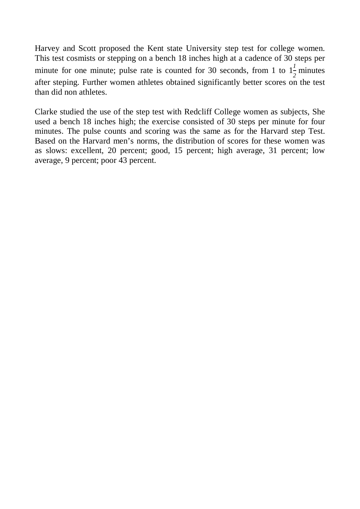Harvey and Scott proposed the Kent state University step test for college women. This test cosmists or stepping on a bench 18 inches high at a cadence of 30 steps per minute for one minute; pulse rate is counted for 30 seconds, from 1 to  $1\frac{1}{2}$  minutes after steping. Further women athletes obtained significantly better scores on the test than did non athletes.

Clarke studied the use of the step test with Redcliff College women as subjects, She used a bench 18 inches high; the exercise consisted of 30 steps per minute for four minutes. The pulse counts and scoring was the same as for the Harvard step Test. Based on the Harvard men's norms, the distribution of scores for these women was as slows: excellent, 20 percent; good, 15 percent; high average, 31 percent; low average, 9 percent; poor 43 percent.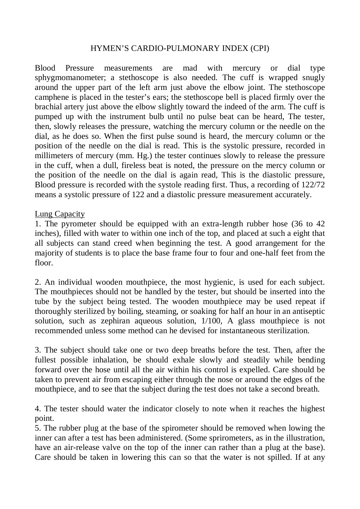#### HYMEN'S CARDIO-PULMONARY INDEX (CPI)

Blood Pressure measurements are mad with mercury or dial type sphygmomanometer; a stethoscope is also needed. The cuff is wrapped snugly around the upper part of the left arm just above the elbow joint. The stethoscope camphene is placed in the tester's ears; the stethoscope bell is placed firmly over the brachial artery just above the elbow slightly toward the indeed of the arm. The cuff is pumped up with the instrument bulb until no pulse beat can be heard, The tester, then, slowly releases the pressure, watching the mercury column or the needle on the dial, as he does so. When the first pulse sound is heard, the mercury column or the position of the needle on the dial is read. This is the systolic pressure, recorded in millimeters of mercury (mm. Hg.) the tester continues slowly to release the pressure in the cuff, when a dull, fireless beat is noted, the pressure on the mercy column or the position of the needle on the dial is again read, This is the diastolic pressure, Blood pressure is recorded with the systole reading first. Thus, a recording of 122/72 means a systolic pressure of 122 and a diastolic pressure measurement accurately.

#### Lung Capacity

1. The pyrometer should be equipped with an extra-length rubber hose (36 to 42 inches), filled with water to within one inch of the top, and placed at such a eight that all subjects can stand creed when beginning the test. A good arrangement for the majority of students is to place the base frame four to four and one-half feet from the floor.

2. An individual wooden mouthpiece, the most hygienic, is used for each subject. The mouthpieces should not be handled by the tester, but should be inserted into the tube by the subject being tested. The wooden mouthpiece may be used repeat if thoroughly sterilized by boiling, steaming, or soaking for half an hour in an antiseptic solution, such as zephiran aqueous solution, 1/100, A glass mouthpiece is not recommended unless some method can he devised for instantaneous sterilization.

3. The subject should take one or two deep breaths before the test. Then, after the fullest possible inhalation, be should exhale slowly and steadily while bending forward over the hose until all the air within his control is expelled. Care should be taken to prevent air from escaping either through the nose or around the edges of the mouthpiece, and to see that the subject during the test does not take a second breath.

4. The tester should water the indicator closely to note when it reaches the highest point.

5. The rubber plug at the base of the spirometer should be removed when lowing the inner can after a test has been administered. (Some sprirometers, as in the illustration, have an air-release valve on the top of the inner can rather than a plug at the base). Care should be taken in lowering this can so that the water is not spilled. If at any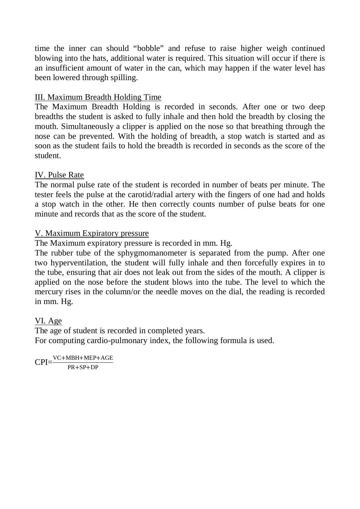time the inner can should "bobble" and refuse to raise higher weigh continued blowing into the hats, additional water is required. This situation will occur if there is an insufficient amount of water in the can, which may happen if the water level has been lowered through spilling.

# III. Maximum Breadth Holding Time

The Maximum Breadth Holding is recorded in seconds. After one or two deep breadths the student is asked to fully inhale and then hold the breadth by closing the mouth. Simultaneously a clipper is applied on the nose so that breathing through the nose can be prevented. With the holding of breadth, a stop watch is started and as soon as the student fails to hold the breadth is recorded in seconds as the score of the student.

# IV. Pulse Rate

The normal pulse rate of the student is recorded in number of beats per minute. The tester feels the pulse at the carotid/radial artery with the fingers of one had and holds a stop watch in the other. He then correctly counts number of pulse beats for one minute and records that as the score of the student.

# V. Maximum Expiratory pressure

The Maximum expiratory pressure is recorded in mm. Hg.

The rubber tube of the sphygmomanometer is separated from the pump. After one two hyperventilation, the student will fully inhale and then forcefully expires in to the tube, ensuring that air does not leak out from the sides of the mouth. A clipper is applied on the nose before the student blows into the tube. The level to which the mercury rises in the column/or the needle moves on the dial, the reading is recorded in mm. Hg.

# VI. Age

The age of student is recorded in completed years. For computing cardio-pulmonary index, the following formula is used.

 $CPI=\frac{VC+MBH+MEP+AGE}{PD+SD+DP}$ PR+SP+DP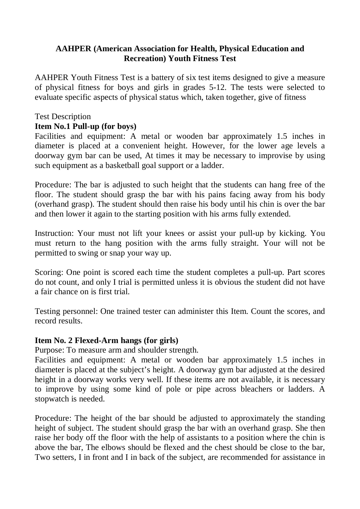# **AAHPER (American Association for Health, Physical Education and Recreation) Youth Fitness Test**

AAHPER Youth Fitness Test is a battery of six test items designed to give a measure of physical fitness for boys and girls in grades 5-12. The tests were selected to evaluate specific aspects of physical status which, taken together, give of fitness

### Test Description

#### **Item No.1 Pull-up (for boys)**

Facilities and equipment: A metal or wooden bar approximately 1.5 inches in diameter is placed at a convenient height. However, for the lower age levels a doorway gym bar can be used, At times it may be necessary to improvise by using such equipment as a basketball goal support or a ladder.

Procedure: The bar is adjusted to such height that the students can hang free of the floor. The student should grasp the bar with his pains facing away from his body (overhand grasp). The student should then raise his body until his chin is over the bar and then lower it again to the starting position with his arms fully extended.

Instruction: Your must not lift your knees or assist your pull-up by kicking. You must return to the hang position with the arms fully straight. Your will not be permitted to swing or snap your way up.

Scoring: One point is scored each time the student completes a pull-up. Part scores do not count, and only I trial is permitted unless it is obvious the student did not have a fair chance on is first trial.

Testing personnel: One trained tester can administer this Item. Count the scores, and record results.

#### **Item No. 2 Flexed-Arm hangs (for girls)**

Purpose: To measure arm and shoulder strength.

Facilities and equipment: A metal or wooden bar approximately 1.5 inches in diameter is placed at the subject's height. A doorway gym bar adjusted at the desired height in a doorway works very well. If these items are not available, it is necessary to improve by using some kind of pole or pipe across bleachers or ladders. A stopwatch is needed.

Procedure: The height of the bar should be adjusted to approximately the standing height of subject. The student should grasp the bar with an overhand grasp. She then raise her body off the floor with the help of assistants to a position where the chin is above the bar, The elbows should be flexed and the chest should be close to the bar, Two setters, I in front and I in back of the subject, are recommended for assistance in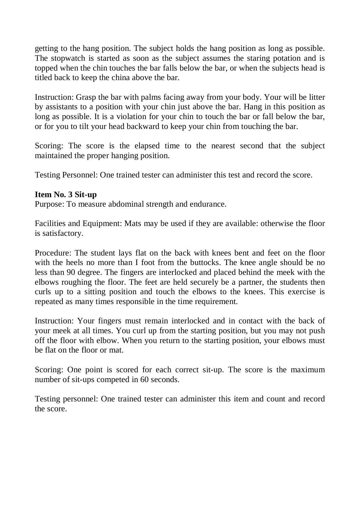getting to the hang position. The subject holds the hang position as long as possible. The stopwatch is started as soon as the subject assumes the staring potation and is topped when the chin touches the bar falls below the bar, or when the subjects head is titled back to keep the china above the bar.

Instruction: Grasp the bar with palms facing away from your body. Your will be litter by assistants to a position with your chin just above the bar. Hang in this position as long as possible. It is a violation for your chin to touch the bar or fall below the bar, or for you to tilt your head backward to keep your chin from touching the bar.

Scoring: The score is the elapsed time to the nearest second that the subject maintained the proper hanging position.

Testing Personnel: One trained tester can administer this test and record the score.

#### **Item No. 3 Sit-up**

Purpose: To measure abdominal strength and endurance.

Facilities and Equipment: Mats may be used if they are available: otherwise the floor is satisfactory.

Procedure: The student lays flat on the back with knees bent and feet on the floor with the heels no more than I foot from the buttocks. The knee angle should be no less than 90 degree. The fingers are interlocked and placed behind the meek with the elbows roughing the floor. The feet are held securely be a partner, the students then curls up to a sitting position and touch the elbows to the knees. This exercise is repeated as many times responsible in the time requirement.

Instruction: Your fingers must remain interlocked and in contact with the back of your meek at all times. You curl up from the starting position, but you may not push off the floor with elbow. When you return to the starting position, your elbows must be flat on the floor or mat.

Scoring: One point is scored for each correct sit-up. The score is the maximum number of sit-ups competed in 60 seconds.

Testing personnel: One trained tester can administer this item and count and record the score.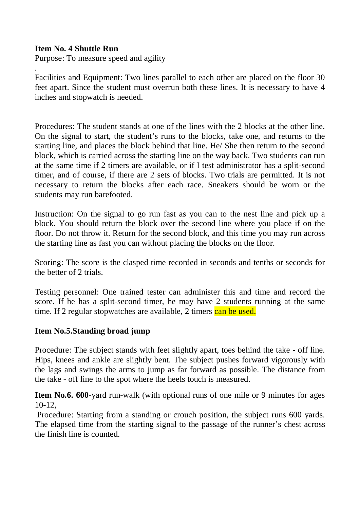### **Item No. 4 Shuttle Run**

Purpose: To measure speed and agility

. Facilities and Equipment: Two lines parallel to each other are placed on the floor 30 feet apart. Since the student must overrun both these lines. It is necessary to have 4 inches and stopwatch is needed.

Procedures: The student stands at one of the lines with the 2 blocks at the other line. On the signal to start, the student's runs to the blocks, take one, and returns to the starting line, and places the block behind that line. He/ She then return to the second block, which is carried across the starting line on the way back. Two students can run at the same time if 2 timers are available, or if I test administrator has a split-second timer, and of course, if there are 2 sets of blocks. Two trials are permitted. It is not necessary to return the blocks after each race. Sneakers should be worn or the students may run barefooted.

Instruction: On the signal to go run fast as you can to the nest line and pick up a block. You should return the block over the second line where you place if on the floor. Do not throw it. Return for the second block, and this time you may run across the starting line as fast you can without placing the blocks on the floor.

Scoring: The score is the clasped time recorded in seconds and tenths or seconds for the better of 2 trials.

Testing personnel: One trained tester can administer this and time and record the score. If he has a split-second timer, he may have 2 students running at the same time. If 2 regular stopwatches are available, 2 timers can be used.

### **Item No.5.Standing broad jump**

Procedure: The subject stands with feet slightly apart, toes behind the take - off line. Hips, knees and ankle are slightly bent. The subject pushes forward vigorously with the lags and swings the arms to jump as far forward as possible. The distance from the take - off line to the spot where the heels touch is measured.

**Item No.6. 600**-yard run-walk (with optional runs of one mile or 9 minutes for ages 10-12,

Procedure: Starting from a standing or crouch position, the subject runs 600 yards. The elapsed time from the starting signal to the passage of the runner's chest across the finish line is counted.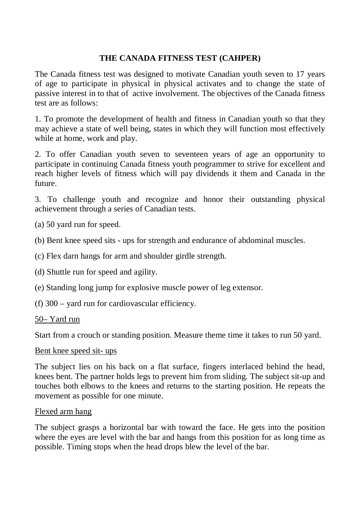# **THE CANADA FITNESS TEST (CAHPER)**

The Canada fitness test was designed to motivate Canadian youth seven to 17 years of age to participate in physical in physical activates and to change the state of passive interest in to that of active involvement. The objectives of the Canada fitness test are as follows:

1. To promote the development of health and fitness in Canadian youth so that they may achieve a state of well being, states in which they will function most effectively while at home, work and play.

2. To offer Canadian youth seven to seventeen years of age an opportunity to participate in continuing Canada fitness youth programmer to strive for excellent and reach higher levels of fitness which will pay dividends it them and Canada in the future.

3. To challenge youth and recognize and honor their outstanding physical achievement through a series of Canadian tests.

(a) 50 yard run for speed.

(b) Bent knee speed sits - ups for strength and endurance of abdominal muscles.

(c) Flex darn hangs for arm and shoulder girdle strength.

(d) Shuttle run for speed and agility.

(e) Standing long jump for explosive muscle power of leg extensor.

(f) 300 – yard run for cardiovascular efficiency.

50– Yard run

Start from a crouch or standing position. Measure theme time it takes to run 50 yard.

#### Bent knee speed sit- ups

The subject lies on his back on a flat surface, fingers interlaced behind the head, knees bent. The partner holds legs to prevent him from sliding. The subject sit-up and touches both elbows to the knees and returns to the starting position. He repeats the movement as possible for one minute.

#### Flexed arm hang

The subject grasps a horizontal bar with toward the face. He gets into the position where the eyes are level with the bar and hangs from this position for as long time as possible. Timing stops when the head drops blew the level of the bar.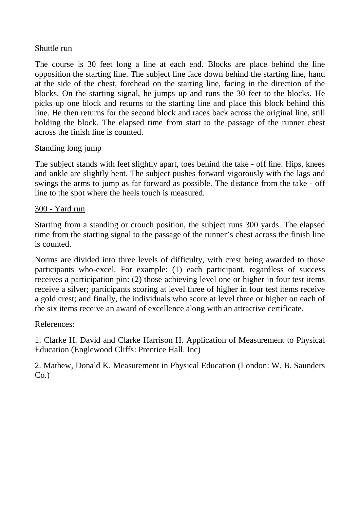#### Shuttle run

The course is 30 feet long a line at each end. Blocks are place behind the line opposition the starting line. The subject line face down behind the starting line, hand at the side of the chest, forehead on the starting line, facing in the direction of the blocks. On the starting signal, he jumps up and runs the 30 feet to the blocks. He picks up one block and returns to the starting line and place this block behind this line. He then returns for the second block and races back across the original line, still holding the block. The elapsed time from start to the passage of the runner chest across the finish line is counted.

### Standing long jump

The subject stands with feet slightly apart, toes behind the take - off line. Hips, knees and ankle are slightly bent. The subject pushes forward vigorously with the lags and swings the arms to jump as far forward as possible. The distance from the take - off line to the spot where the heels touch is measured.

### 300 - Yard run

Starting from a standing or crouch position, the subject runs 300 yards. The elapsed time from the starting signal to the passage of the runner's chest across the finish line is counted.

Norms are divided into three levels of difficulty, with crest being awarded to those participants who-excel. For example: (1) each participant, regardless of success receives a participation pin: (2) those achieving level one or higher in four test items receive a silver; participants scoring at level three of higher in four test items receive a gold crest; and finally, the individuals who score at level three or higher on each of the six items receive an award of excellence along with an attractive certificate.

### References:

1. Clarke H. David and Clarke Harrison H. Application of Measurement to Physical Education (Englewood Cliffs: Prentice Hall. Inc)

2. Mathew, Donald K. Measurement in Physical Education (London: W. B. Saunders  $Co.$ )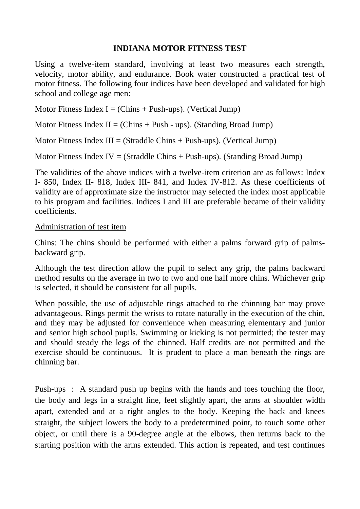### **INDIANA MOTOR FITNESS TEST**

Using a twelve-item standard, involving at least two measures each strength, velocity, motor ability, and endurance. Book water constructed a practical test of motor fitness. The following four indices have been developed and validated for high school and college age men:

Motor Fitness Index  $I = (Chins + Push-ups)$ . (Vertical Jump)

Motor Fitness Index  $II = (Chins + Push - ups)$ . (Standing Broad Jump)

Motor Fitness Index  $III = (Straddle Chins + Push-ups)$ . (Vertical Jump)

Motor Fitness Index IV = (Straddle Chins + Push-ups). (Standing Broad Jump)

The validities of the above indices with a twelve-item criterion are as follows: Index I- 850, Index II- 818, Index III- 841, and Index IV-812. As these coefficients of validity are of approximate size the instructor may selected the index most applicable to his program and facilities. Indices I and III are preferable became of their validity coefficients.

### Administration of test item

Chins: The chins should be performed with either a palms forward grip of palmsbackward grip.

Although the test direction allow the pupil to select any grip, the palms backward method results on the average in two to two and one half more chins. Whichever grip is selected, it should be consistent for all pupils.

When possible, the use of adjustable rings attached to the chinning bar may prove advantageous. Rings permit the wrists to rotate naturally in the execution of the chin, and they may be adjusted for convenience when measuring elementary and junior and senior high school pupils. Swimming or kicking is not permitted; the tester may and should steady the legs of the chinned. Half credits are not permitted and the exercise should be continuous. It is prudent to place a man beneath the rings are chinning bar.

Push-ups : A standard push up begins with the hands and toes touching the floor, the body and legs in a straight line, feet slightly apart, the arms at shoulder width apart, extended and at a right angles to the body. Keeping the back and knees straight, the subject lowers the body to a predetermined point, to touch some other object, or until there is a 90-degree angle at the elbows, then returns back to the starting position with the arms extended. This action is repeated, and test continues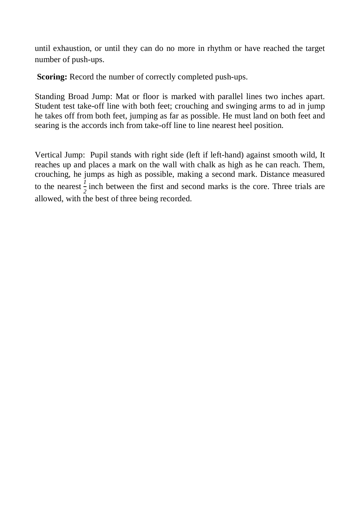until exhaustion, or until they can do no more in rhythm or have reached the target number of push-ups.

**Scoring:** Record the number of correctly completed push-ups.

Standing Broad Jump: Mat or floor is marked with parallel lines two inches apart. Student test take-off line with both feet; crouching and swinging arms to ad in jump he takes off from both feet, jumping as far as possible. He must land on both feet and searing is the accords inch from take-off line to line nearest heel position.

Vertical Jump: Pupil stands with right side (left if left-hand) against smooth wild, It reaches up and places a mark on the wall with chalk as high as he can reach. Them, crouching, he jumps as high as possible, making a second mark. Distance measured to the nearest  $\frac{1}{2}$  inch between the first and second marks is the core. Three trials are allowed, with the best of three being recorded.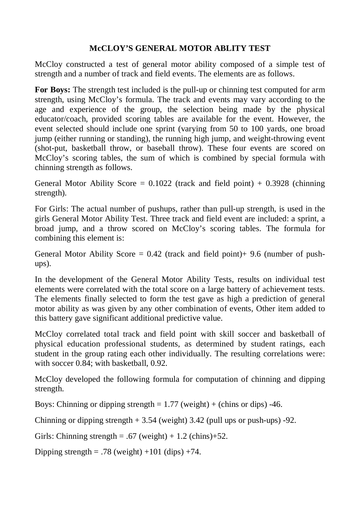# **McCLOY'S GENERAL MOTOR ABLITY TEST**

McCloy constructed a test of general motor ability composed of a simple test of strength and a number of track and field events. The elements are as follows.

**For Boys:** The strength test included is the pull-up or chinning test computed for arm strength, using McCloy's formula. The track and events may vary according to the age and experience of the group, the selection being made by the physical educator/coach, provided scoring tables are available for the event. However, the event selected should include one sprint (varying from 50 to 100 yards, one broad jump (either running or standing), the running high jump, and weight-throwing event (shot-put, basketball throw, or baseball throw). These four events are scored on McCloy's scoring tables, the sum of which is combined by special formula with chinning strength as follows.

General Motor Ability Score =  $0.1022$  (track and field point) +  $0.3928$  (chinning strength).

For Girls: The actual number of pushups, rather than pull-up strength, is used in the girls General Motor Ability Test. Three track and field event are included: a sprint, a broad jump, and a throw scored on McCloy's scoring tables. The formula for combining this element is:

General Motor Ability Score =  $0.42$  (track and field point)+ 9.6 (number of pushups).

In the development of the General Motor Ability Tests, results on individual test elements were correlated with the total score on a large battery of achievement tests. The elements finally selected to form the test gave as high a prediction of general motor ability as was given by any other combination of events, Other item added to this battery gave significant additional predictive value.

McCloy correlated total track and field point with skill soccer and basketball of physical education professional students, as determined by student ratings, each student in the group rating each other individually. The resulting correlations were: with soccer 0.84; with basketball, 0.92.

McCloy developed the following formula for computation of chinning and dipping strength.

Boys: Chinning or dipping strength  $= 1.77$  (weight)  $+$  (chins or dips) -46.

Chinning or dipping strength  $+ 3.54$  (weight) 3.42 (pull ups or push-ups) -92.

Girls: Chinning strength = .67 (weight) + 1.2 (chins)+52.

Dipping strength = .78 (weight) +101 (dips) +74.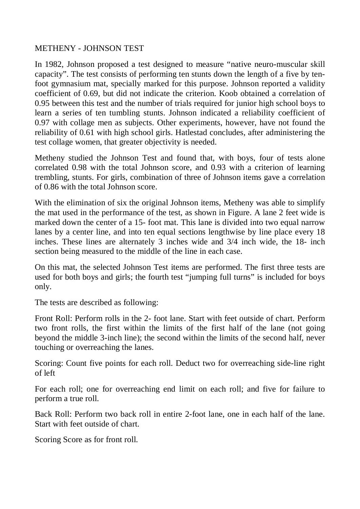#### METHENY - JOHNSON TEST

In 1982, Johnson proposed a test designed to measure "native neuro-muscular skill capacity". The test consists of performing ten stunts down the length of a five by tenfoot gymnasium mat, specially marked for this purpose. Johnson reported a validity coefficient of 0.69, but did not indicate the criterion. Koob obtained a correlation of 0.95 between this test and the number of trials required for junior high school boys to learn a series of ten tumbling stunts. Johnson indicated a reliability coefficient of 0.97 with collage men as subjects. Other experiments, however, have not found the reliability of 0.61 with high school girls. Hatlestad concludes, after administering the test collage women, that greater objectivity is needed.

Metheny studied the Johnson Test and found that, with boys, four of tests alone correlated 0.98 with the total Johnson score, and 0.93 with a criterion of learning trembling, stunts. For girls, combination of three of Johnson items gave a correlation of 0.86 with the total Johnson score.

With the elimination of six the original Johnson items, Metheny was able to simplify the mat used in the performance of the test, as shown in Figure. A lane 2 feet wide is marked down the center of a 15- foot mat. This lane is divided into two equal narrow lanes by a center line, and into ten equal sections lengthwise by line place every 18 inches. These lines are alternately 3 inches wide and 3/4 inch wide, the 18- inch section being measured to the middle of the line in each case.

On this mat, the selected Johnson Test items are performed. The first three tests are used for both boys and girls; the fourth test "jumping full turns" is included for boys only.

The tests are described as following:

Front Roll: Perform rolls in the 2- foot lane. Start with feet outside of chart. Perform two front rolls, the first within the limits of the first half of the lane (not going beyond the middle 3-inch line); the second within the limits of the second half, never touching or overreaching the lanes.

Scoring: Count five points for each roll. Deduct two for overreaching side-line right of left

For each roll; one for overreaching end limit on each roll; and five for failure to perform a true roll.

Back Roll: Perform two back roll in entire 2-foot lane, one in each half of the lane. Start with feet outside of chart.

Scoring Score as for front roll.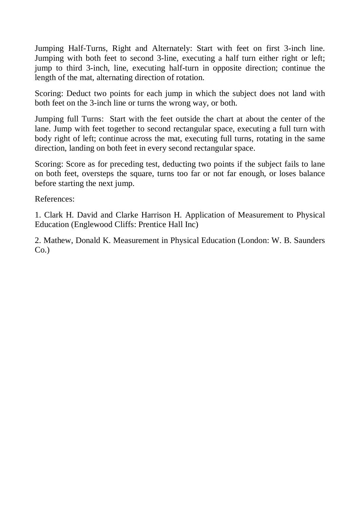Jumping Half-Turns, Right and Alternately: Start with feet on first 3-inch line. Jumping with both feet to second 3-line, executing a half turn either right or left; jump to third 3-inch, line, executing half-turn in opposite direction; continue the length of the mat, alternating direction of rotation.

Scoring: Deduct two points for each jump in which the subject does not land with both feet on the 3-inch line or turns the wrong way, or both.

Jumping full Turns: Start with the feet outside the chart at about the center of the lane. Jump with feet together to second rectangular space, executing a full turn with body right of left; continue across the mat, executing full turns, rotating in the same direction, landing on both feet in every second rectangular space.

Scoring: Score as for preceding test, deducting two points if the subject fails to lane on both feet, oversteps the square, turns too far or not far enough, or loses balance before starting the next jump.

References:

1. Clark H. David and Clarke Harrison H. Application of Measurement to Physical Education (Englewood Cliffs: Prentice Hall Inc)

2. Mathew, Donald K. Measurement in Physical Education (London: W. B. Saunders  $Co.$ )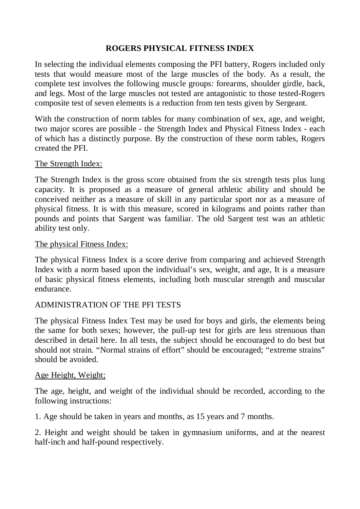# **ROGERS PHYSICAL FITNESS INDEX**

In selecting the individual elements composing the PFI battery, Rogers included only tests that would measure most of the large muscles of the body. As a result, the complete test involves the following muscle groups: forearms, shoulder girdle, back, and legs. Most of the large muscles not tested are antagonistic to those tested-Rogers composite test of seven elements is a reduction from ten tests given by Sergeant.

With the construction of norm tables for many combination of sex, age, and weight, two major scores are possible - the Strength Index and Physical Fitness Index - each of which has a distinctly purpose. By the construction of these norm tables, Rogers created the PFI.

#### The Strength Index:

The Strength Index is the gross score obtained from the six strength tests plus lung capacity. It is proposed as a measure of general athletic ability and should be conceived neither as a measure of skill in any particular sport nor as a measure of physical fitness. It is with this measure, scored in kilograms and points rather than pounds and points that Sargent was familiar. The old Sargent test was an athletic ability test only.

#### The physical Fitness Index:

The physical Fitness Index is a score derive from comparing and achieved Strength Index with a norm based upon the individual's sex, weight, and age, It is a measure of basic physical fitness elements, including both muscular strength and muscular endurance.

### ADMINISTRATION OF THE PFI TESTS

The physical Fitness Index Test may be used for boys and girls, the elements being the same for both sexes; however, the pull-up test for girls are less strenuous than described in detail here. In all tests, the subject should be encouraged to do best but should not strain. "Normal strains of effort" should be encouraged; "extreme strains" should be avoided.

### Age Height, Weight;

The age, height, and weight of the individual should be recorded, according to the following instructions:

1. Age should be taken in years and months, as 15 years and 7 months.

2. Height and weight should be taken in gymnasium uniforms, and at the nearest half-inch and half-pound respectively.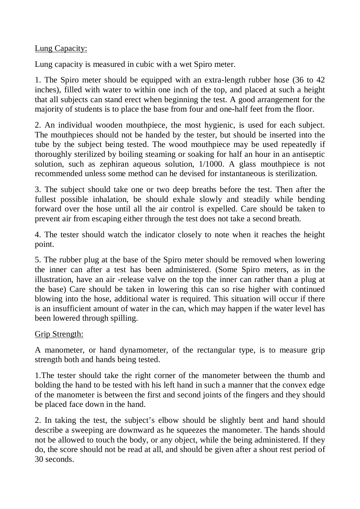### Lung Capacity:

Lung capacity is measured in cubic with a wet Spiro meter.

1. The Spiro meter should be equipped with an extra-length rubber hose (36 to 42 inches), filled with water to within one inch of the top, and placed at such a height that all subjects can stand erect when beginning the test. A good arrangement for the majority of students is to place the base from four and one-half feet from the floor.

2. An individual wooden mouthpiece, the most hygienic, is used for each subject. The mouthpieces should not be handed by the tester, but should be inserted into the tube by the subject being tested. The wood mouthpiece may be used repeatedly if thoroughly sterilized by boiling steaming or soaking for half an hour in an antiseptic solution, such as zephiran aqueous solution, 1/1000. A glass mouthpiece is not recommended unless some method can he devised for instantaneous is sterilization.

3. The subject should take one or two deep breaths before the test. Then after the fullest possible inhalation, be should exhale slowly and steadily while bending forward over the hose until all the air control is expelled. Care should be taken to prevent air from escaping either through the test does not take a second breath.

4. The tester should watch the indicator closely to note when it reaches the height point.

5. The rubber plug at the base of the Spiro meter should be removed when lowering the inner can after a test has been administered. (Some Spiro meters, as in the illustration, have an air -release valve on the top the inner can rather than a plug at the base) Care should be taken in lowering this can so rise higher with continued blowing into the hose, additional water is required. This situation will occur if there is an insufficient amount of water in the can, which may happen if the water level has been lowered through spilling.

### Grip Strength:

A manometer, or hand dynamometer, of the rectangular type, is to measure grip strength both and hands being tested.

1.The tester should take the right corner of the manometer between the thumb and bolding the hand to be tested with his left hand in such a manner that the convex edge of the manometer is between the first and second joints of the fingers and they should be placed face down in the hand.

2. In taking the test, the subject's elbow should be slightly bent and hand should describe a sweeping are downward as he squeezes the manometer. The hands should not be allowed to touch the body, or any object, while the being administered. If they do, the score should not be read at all, and should be given after a shout rest period of 30 seconds.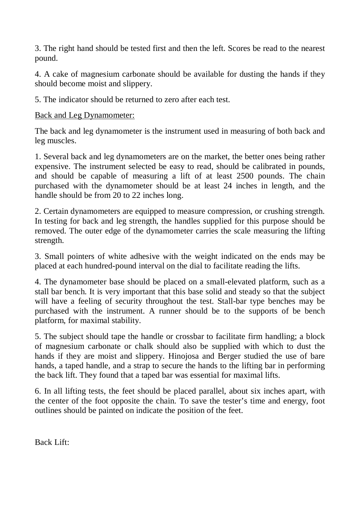3. The right hand should be tested first and then the left. Scores be read to the nearest pound.

4. A cake of magnesium carbonate should be available for dusting the hands if they should become moist and slippery.

5. The indicator should be returned to zero after each test.

Back and Leg Dynamometer:

The back and leg dynamometer is the instrument used in measuring of both back and leg muscles.

1. Several back and leg dynamometers are on the market, the better ones being rather expensive. The instrument selected be easy to read, should be calibrated in pounds, and should be capable of measuring a lift of at least 2500 pounds. The chain purchased with the dynamometer should be at least 24 inches in length, and the handle should be from 20 to 22 inches long.

2. Certain dynamometers are equipped to measure compression, or crushing strength. In testing for back and leg strength, the handles supplied for this purpose should be removed. The outer edge of the dynamometer carries the scale measuring the lifting strength.

3. Small pointers of white adhesive with the weight indicated on the ends may be placed at each hundred-pound interval on the dial to facilitate reading the lifts.

4. The dynamometer base should be placed on a small-elevated platform, such as a stall bar bench. It is very important that this base solid and steady so that the subject will have a feeling of security throughout the test. Stall-bar type benches may be purchased with the instrument. A runner should be to the supports of be bench platform, for maximal stability.

5. The subject should tape the handle or crossbar to facilitate firm handling; a block of magnesium carbonate or chalk should also be supplied with which to dust the hands if they are moist and slippery. Hinojosa and Berger studied the use of bare hands, a taped handle, and a strap to secure the hands to the lifting bar in performing the back lift. They found that a taped bar was essential for maximal lifts.

6. In all lifting tests, the feet should be placed parallel, about six inches apart, with the center of the foot opposite the chain. To save the tester's time and energy, foot outlines should be painted on indicate the position of the feet.

Back Lift: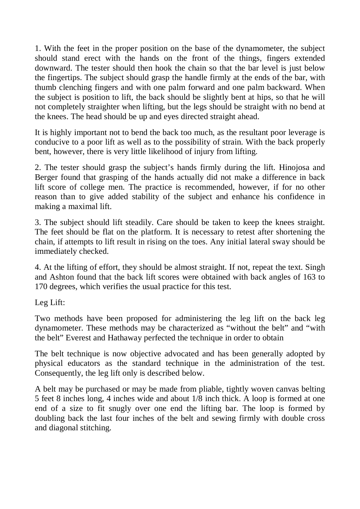1. With the feet in the proper position on the base of the dynamometer, the subject should stand erect with the hands on the front of the things, fingers extended downward. The tester should then hook the chain so that the bar level is just below the fingertips. The subject should grasp the handle firmly at the ends of the bar, with thumb clenching fingers and with one palm forward and one palm backward. When the subject is position to lift, the back should be slightly bent at hips, so that he will not completely straighter when lifting, but the legs should be straight with no bend at the knees. The head should be up and eyes directed straight ahead.

It is highly important not to bend the back too much, as the resultant poor leverage is conducive to a poor lift as well as to the possibility of strain. With the back properly bent, however, there is very little likelihood of injury from lifting.

2. The tester should grasp the subject's hands firmly during the lift. Hinojosa and Berger found that grasping of the hands actually did not make a difference in back lift score of college men. The practice is recommended, however, if for no other reason than to give added stability of the subject and enhance his confidence in making a maximal lift.

3. The subject should lift steadily. Care should be taken to keep the knees straight. The feet should be flat on the platform. It is necessary to retest after shortening the chain, if attempts to lift result in rising on the toes. Any initial lateral sway should be immediately checked.

4. At the lifting of effort, they should be almost straight. If not, repeat the text. Singh and Ashton found that the back lift scores were obtained with back angles of 163 to 170 degrees, which verifies the usual practice for this test.

Leg Lift:

Two methods have been proposed for administering the leg lift on the back leg dynamometer. These methods may be characterized as "without the belt" and "with the belt" Everest and Hathaway perfected the technique in order to obtain

The belt technique is now objective advocated and has been generally adopted by physical educators as the standard technique in the administration of the test. Consequently, the leg lift only is described below.

A belt may be purchased or may be made from pliable, tightly woven canvas belting 5 feet 8 inches long, 4 inches wide and about 1/8 inch thick. A loop is formed at one end of a size to fit snugly over one end the lifting bar. The loop is formed by doubling back the last four inches of the belt and sewing firmly with double cross and diagonal stitching.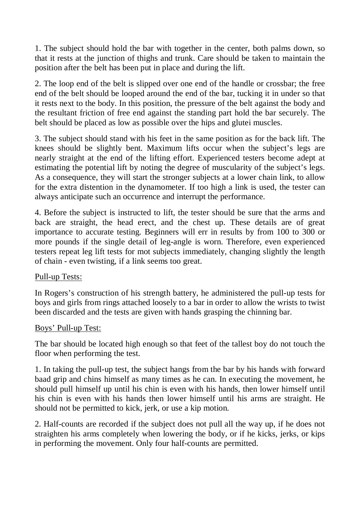1. The subject should hold the bar with together in the center, both palms down, so that it rests at the junction of thighs and trunk. Care should be taken to maintain the position after the belt has been put in place and during the lift.

2. The loop end of the belt is slipped over one end of the handle or crossbar; the free end of the belt should be looped around the end of the bar, tucking it in under so that it rests next to the body. In this position, the pressure of the belt against the body and the resultant friction of free end against the standing part hold the bar securely. The belt should be placed as low as possible over the hips and glutei muscles.

3. The subject should stand with his feet in the same position as for the back lift. The knees should be slightly bent. Maximum lifts occur when the subject's legs are nearly straight at the end of the lifting effort. Experienced testers become adept at estimating the potential lift by noting the degree of muscularity of the subject's legs. As a consequence, they will start the stronger subjects at a lower chain link, to allow for the extra distention in the dynamometer. If too high a link is used, the tester can always anticipate such an occurrence and interrupt the performance.

4. Before the subject is instructed to lift, the tester should be sure that the arms and back are straight, the head erect, and the chest up. These details are of great importance to accurate testing. Beginners will err in results by from 100 to 300 or more pounds if the single detail of leg-angle is worn. Therefore, even experienced testers repeat leg lift tests for mot subjects immediately, changing slightly the length of chain - even twisting, if a link seems too great.

### Pull-up Tests:

In Rogers's construction of his strength battery, he administered the pull-up tests for boys and girls from rings attached loosely to a bar in order to allow the wrists to twist been discarded and the tests are given with hands grasping the chinning bar.

### Boys' Pull-up Test:

The bar should be located high enough so that feet of the tallest boy do not touch the floor when performing the test.

1. In taking the pull-up test, the subject hangs from the bar by his hands with forward baad grip and chins himself as many times as he can. In executing the movement, he should pull himself up until his chin is even with his hands, then lower himself until his chin is even with his hands then lower himself until his arms are straight. He should not be permitted to kick, jerk, or use a kip motion.

2. Half-counts are recorded if the subject does not pull all the way up, if he does not straighten his arms completely when lowering the body, or if he kicks, jerks, or kips in performing the movement. Only four half-counts are permitted.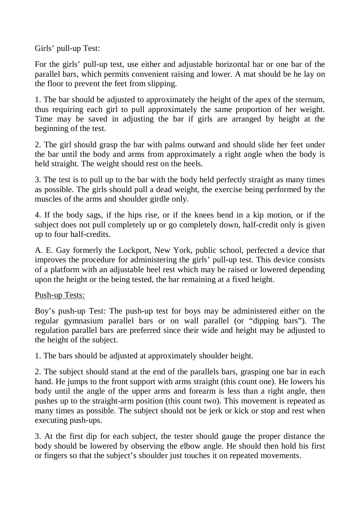Girls' pull-up Test:

For the girls' pull-up test, use either and adjustable horizontal bar or one bar of the parallel bars, which permits convenient raising and lower. A mat should be he lay on the floor to prevent the feet from slipping.

1. The bar should be adjusted to approximately the height of the apex of the sternum, thus requiring each girl to pull approximately the same proportion of her weight. Time may be saved in adjusting the bar if girls are arranged by height at the beginning of the test.

2. The girl should grasp the bar with palms outward and should slide her feet under the bar until the body and arms from approximately a right angle when the body is held straight. The weight should rest on the heels.

3. The test is to pull up to the bar with the body held perfectly straight as many times as possible. The girls should pull a dead weight, the exercise being performed by the muscles of the arms and shoulder girdle only.

4. If the body sags, if the hips rise, or if the knees bend in a kip motion, or if the subject does not pull completely up or go completely down, half-credit only is given up to four half-credits.

A. E. Gay formerly the Lockport, New York, public school, perfected a device that improves the procedure for administering the girls' pull-up test. This device consists of a platform with an adjustable heel rest which may be raised or lowered depending upon the height or the being tested, the bar remaining at a fixed height.

Push-up Tests:

Boy's push-up Test: The push-up test for boys may be administered either on the regular gymnasium parallel bars or on wall parallel (or "dipping bars"). The regulation parallel bars are preferred since their wide and height may be adjusted to the height of the subject.

1. The bars should be adjusted at approximately shoulder height.

2. The subject should stand at the end of the parallels bars, grasping one bar in each hand. He jumps to the front support with arms straight (this count one). He lowers his body until the angle of the upper arms and forearm is less than a right angle, then pushes up to the straight-arm position (this count two). This movement is repeated as many times as possible. The subject should not be jerk or kick or stop and rest when executing push-ups.

3. At the first dip for each subject, the tester should gauge the proper distance the body should be lowered by observing the elbow angle. He should then hold his first or fingers so that the subject's shoulder just touches it on repeated movements.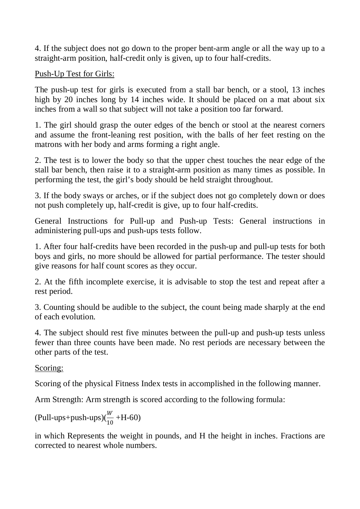4. If the subject does not go down to the proper bent-arm angle or all the way up to a straight-arm position, half-credit only is given, up to four half-credits.

Push-Up Test for Girls:

The push-up test for girls is executed from a stall bar bench, or a stool, 13 inches high by 20 inches long by 14 inches wide. It should be placed on a mat about six inches from a wall so that subject will not take a position too far forward.

1. The girl should grasp the outer edges of the bench or stool at the nearest corners and assume the front-leaning rest position, with the balls of her feet resting on the matrons with her body and arms forming a right angle.

2. The test is to lower the body so that the upper chest touches the near edge of the stall bar bench, then raise it to a straight-arm position as many times as possible. In performing the test, the girl's body should be held straight throughout.

3. If the body sways or arches, or if the subject does not go completely down or does not push completely up, half-credit is give, up to four half-credits.

General Instructions for Pull-up and Push-up Tests: General instructions in administering pull-ups and push-ups tests follow.

1. After four half-credits have been recorded in the push-up and pull-up tests for both boys and girls, no more should be allowed for partial performance. The tester should give reasons for half count scores as they occur.

2. At the fifth incomplete exercise, it is advisable to stop the test and repeat after a rest period.

3. Counting should be audible to the subject, the count being made sharply at the end of each evolution.

4. The subject should rest five minutes between the pull-up and push-up tests unless fewer than three counts have been made. No rest periods are necessary between the other parts of the test.

Scoring:

Scoring of the physical Fitness Index tests in accomplished in the following manner.

Arm Strength: Arm strength is scored according to the following formula:

(Pull-ups+push-ups) $(\frac{W}{10})$ 10 +H-60)

in which Represents the weight in pounds, and H the height in inches. Fractions are corrected to nearest whole numbers.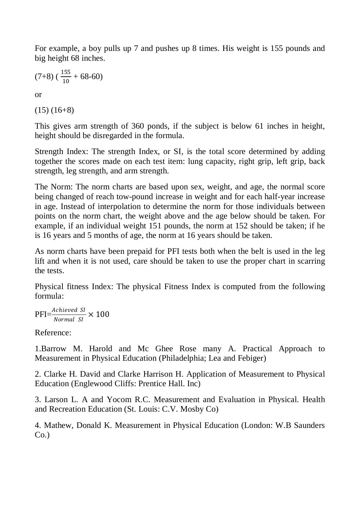For example, a boy pulls up 7 and pushes up 8 times. His weight is 155 pounds and big height 68 inches.

$$
(7+8)\left(\frac{155}{10}+68-60\right)
$$

or

 $(15)$   $(16+8)$ 

This gives arm strength of 360 ponds, if the subject is below 61 inches in height, height should be disregarded in the formula.

Strength Index: The strength Index, or SI, is the total score determined by adding together the scores made on each test item: lung capacity, right grip, left grip, back strength, leg strength, and arm strength.

The Norm: The norm charts are based upon sex, weight, and age, the normal score being changed of reach tow-pound increase in weight and for each half-year increase in age. Instead of interpolation to determine the norm for those individuals between points on the norm chart, the weight above and the age below should be taken. For example, if an individual weight 151 pounds, the norm at 152 should be taken; if he is 16 years and 5 months of age, the norm at 16 years should be taken.

As norm charts have been prepaid for PFI tests both when the belt is used in the leg lift and when it is not used, care should be taken to use the proper chart in scarring the tests.

Physical fitness Index: The physical Fitness Index is computed from the following formula:

$$
PFI = \frac{Achieved \ SI}{Normal \ SI} \times 100
$$

Reference:

1.Barrow M. Harold and Mc Ghee Rose many A. Practical Approach to Measurement in Physical Education (Philadelphia; Lea and Febiger)

2. Clarke H. David and Clarke Harrison H. Application of Measurement to Physical Education (Englewood Cliffs: Prentice Hall. Inc)

3. Larson L. A and Yocom R.C. Measurement and Evaluation in Physical. Health and Recreation Education (St. Louis: C.V. Mosby Co)

4. Mathew, Donald K. Measurement in Physical Education (London: W.B Saunders  $Co.$ )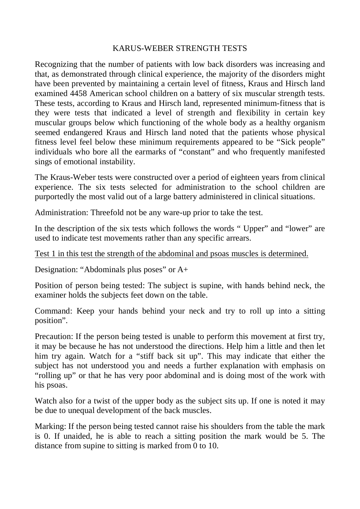#### KARUS-WEBER STRENGTH TESTS

Recognizing that the number of patients with low back disorders was increasing and that, as demonstrated through clinical experience, the majority of the disorders might have been prevented by maintaining a certain level of fitness, Kraus and Hirsch land examined 4458 American school children on a battery of six muscular strength tests. These tests, according to Kraus and Hirsch land, represented minimum-fitness that is they were tests that indicated a level of strength and flexibility in certain key muscular groups below which functioning of the whole body as a healthy organism seemed endangered Kraus and Hirsch land noted that the patients whose physical fitness level feel below these minimum requirements appeared to be "Sick people" individuals who bore all the earmarks of "constant" and who frequently manifested sings of emotional instability.

The Kraus-Weber tests were constructed over a period of eighteen years from clinical experience. The six tests selected for administration to the school children are purportedly the most valid out of a large battery administered in clinical situations.

Administration: Threefold not be any ware-up prior to take the test.

In the description of the six tests which follows the words "Upper" and "lower" are used to indicate test movements rather than any specific arrears.

#### Test 1 in this test the strength of the abdominal and psoas muscles is determined.

Designation: "Abdominals plus poses" or A+

Position of person being tested: The subject is supine, with hands behind neck, the examiner holds the subjects feet down on the table.

Command: Keep your hands behind your neck and try to roll up into a sitting position".

Precaution: If the person being tested is unable to perform this movement at first try, it may be because he has not understood the directions. Help him a little and then let him try again. Watch for a "stiff back sit up". This may indicate that either the subject has not understood you and needs a further explanation with emphasis on "rolling up" or that he has very poor abdominal and is doing most of the work with his psoas.

Watch also for a twist of the upper body as the subject sits up. If one is noted it may be due to unequal development of the back muscles.

Marking: If the person being tested cannot raise his shoulders from the table the mark is 0. If unaided, he is able to reach a sitting position the mark would be 5. The distance from supine to sitting is marked from 0 to 10.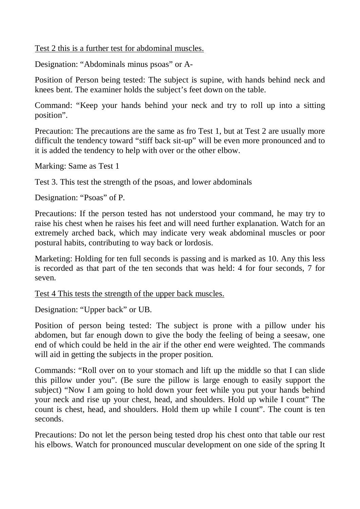Test 2 this is a further test for abdominal muscles.

Designation: "Abdominals minus psoas" or A-

Position of Person being tested: The subject is supine, with hands behind neck and knees bent. The examiner holds the subject's feet down on the table.

Command: "Keep your hands behind your neck and try to roll up into a sitting position".

Precaution: The precautions are the same as fro Test 1, but at Test 2 are usually more difficult the tendency toward "stiff back sit-up" will be even more pronounced and to it is added the tendency to help with over or the other elbow.

Marking: Same as Test 1

Test 3. This test the strength of the psoas, and lower abdominals

Designation: "Psoas" of P.

Precautions: If the person tested has not understood your command, he may try to raise his chest when he raises his feet and will need further explanation. Watch for an extremely arched back, which may indicate very weak abdominal muscles or poor postural habits, contributing to way back or lordosis.

Marketing: Holding for ten full seconds is passing and is marked as 10. Any this less is recorded as that part of the ten seconds that was held: 4 for four seconds, 7 for seven.

Test 4 This tests the strength of the upper back muscles.

Designation: "Upper back" or UB.

Position of person being tested: The subject is prone with a pillow under his abdomen, but far enough down to give the body the feeling of being a seesaw, one end of which could be held in the air if the other end were weighted. The commands will aid in getting the subjects in the proper position.

Commands: "Roll over on to your stomach and lift up the middle so that I can slide this pillow under you". (Be sure the pillow is large enough to easily support the subject) "Now I am going to hold down your feet while you put your hands behind your neck and rise up your chest, head, and shoulders. Hold up while I count" The count is chest, head, and shoulders. Hold them up while I count". The count is ten seconds.

Precautions: Do not let the person being tested drop his chest onto that table our rest his elbows. Watch for pronounced muscular development on one side of the spring It